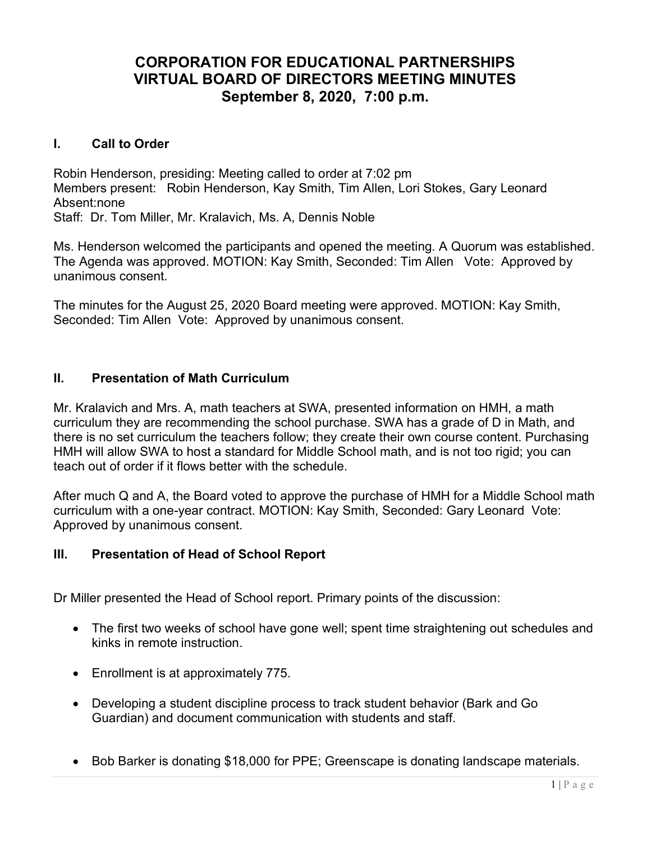# CORPORATION FOR EDUCATIONAL PARTNERSHIPS VIRTUAL BOARD OF DIRECTORS MEETING MINUTES September 8, 2020, 7:00 p.m.

# I. Call to Order

Robin Henderson, presiding: Meeting called to order at 7:02 pm Members present: Robin Henderson, Kay Smith, Tim Allen, Lori Stokes, Gary Leonard Absent:none Staff: Dr. Tom Miller, Mr. Kralavich, Ms. A, Dennis Noble

Ms. Henderson welcomed the participants and opened the meeting. A Quorum was established. The Agenda was approved. MOTION: Kay Smith, Seconded: Tim Allen Vote: Approved by unanimous consent.

The minutes for the August 25, 2020 Board meeting were approved. MOTION: Kay Smith, Seconded: Tim Allen Vote: Approved by unanimous consent.

# II. Presentation of Math Curriculum

Mr. Kralavich and Mrs. A, math teachers at SWA, presented information on HMH, a math curriculum they are recommending the school purchase. SWA has a grade of D in Math, and there is no set curriculum the teachers follow; they create their own course content. Purchasing HMH will allow SWA to host a standard for Middle School math, and is not too rigid; you can teach out of order if it flows better with the schedule.

After much Q and A, the Board voted to approve the purchase of HMH for a Middle School math curriculum with a one-year contract. MOTION: Kay Smith, Seconded: Gary Leonard Vote: Approved by unanimous consent.

# III. Presentation of Head of School Report

Dr Miller presented the Head of School report. Primary points of the discussion:

- The first two weeks of school have gone well; spent time straightening out schedules and kinks in remote instruction.
- Enrollment is at approximately 775.
- Developing a student discipline process to track student behavior (Bark and Go Guardian) and document communication with students and staff.
- Bob Barker is donating \$18,000 for PPE; Greenscape is donating landscape materials.